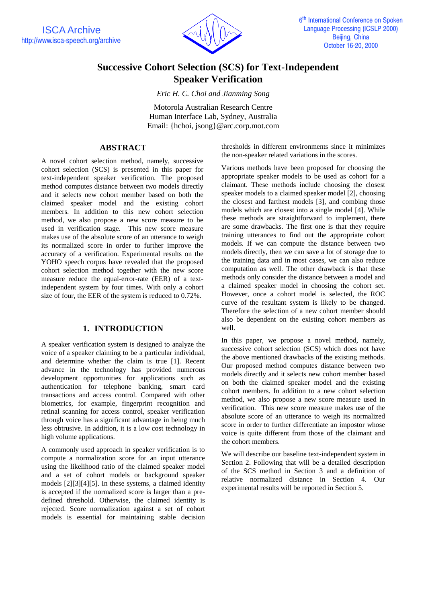

# **Successive Cohort Selection (SCS) for Text-Independent Speaker Verification**

*Eric H. C. Choi and Jianming Song*

Motorola Australian Research Centre Human Interface Lab, Sydney, Australia Email: {hchoi, jsong}@arc.corp.mot.com

## **ABSTRACT**

A novel cohort selection method, namely, successive cohort selection (SCS) is presented in this paper for text-independent speaker verification. The proposed method computes distance between two models directly and it selects new cohort member based on both the claimed speaker model and the existing cohort members. In addition to this new cohort selection method, we also propose a new score measure to be used in verification stage. This new score measure makes use of the absolute score of an utterance to weigh its normalized score in order to further improve the accuracy of a verification. Experimental results on the YOHO speech corpus have revealed that the proposed cohort selection method together with the new score measure reduce the equal-error-rate (EER) of a textindependent system by four times. With only a cohort size of four, the EER of the system is reduced to 0.72%.

## **1. INTRODUCTION**

A speaker verification system is designed to analyze the voice of a speaker claiming to be a particular individual, and determine whether the claim is true [1]. Recent advance in the technology has provided numerous development opportunities for applications such as authentication for telephone banking, smart card transactions and access control. Compared with other biometrics, for example, fingerprint recognition and retinal scanning for access control, speaker verification through voice has a significant advantage in being much less obtrusive. In addition, it is a low cost technology in high volume applications.

A commonly used approach in speaker verification is to compute a normalization score for an input utterance using the likelihood ratio of the claimed speaker model and a set of cohort models or background speaker models [2][3][4][5]. In these systems, a claimed identity is accepted if the normalized score is larger than a predefined threshold. Otherwise, the claimed identity is rejected. Score normalization against a set of cohort models is essential for maintaining stable decision thresholds in different environments since it minimizes the non-speaker related variations in the scores.

Various methods have been proposed for choosing the appropriate speaker models to be used as cohort for a claimant. These methods include choosing the closest speaker models to a claimed speaker model [2], choosing the closest and farthest models [3], and combing those models which are closest into a single model [4]. While these methods are straightforward to implement, there are some drawbacks. The first one is that they require training utterances to find out the appropriate cohort models. If we can compute the distance between two models directly, then we can save a lot of storage due to the training data and in most cases, we can also reduce computation as well. The other drawback is that these methods only consider the distance between a model and a claimed speaker model in choosing the cohort set. However, once a cohort model is selected, the ROC curve of the resultant system is likely to be changed. Therefore the selection of a new cohort member should also be dependent on the existing cohort members as well.

In this paper, we propose a novel method, namely, successive cohort selection (SCS) which does not have the above mentioned drawbacks of the existing methods. Our proposed method computes distance between two models directly and it selects new cohort member based on both the claimed speaker model and the existing cohort members. In addition to a new cohort selection method, we also propose a new score measure used in verification. This new score measure makes use of the absolute score of an utterance to weigh its normalized score in order to further differentiate an impostor whose voice is quite different from those of the claimant and the cohort members.

We will describe our baseline text-independent system in Section 2. Following that will be a detailed description of the SCS method in Section 3 and a definition of relative normalized distance in Section 4. Our experimental results will be reported in Section 5.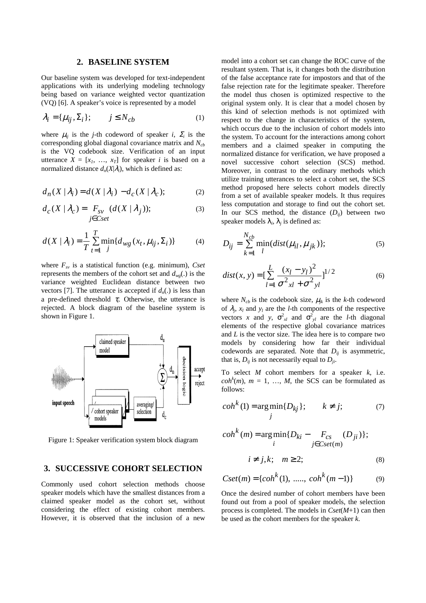#### **2. BASELINE SYSTEM**

Our baseline system was developed for text-independent applications with its underlying modeling technology being based on variance weighted vector quantization (VQ) [6]. A speaker's voice is represented by a model

$$
\lambda_i = {\mu_{ij}, \Sigma_i}; \qquad j \le N_{cb} \tag{1}
$$

where  $\mu_{ij}$  is the *j*-th codeword of speaker *i*,  $\Sigma_i$  is the corresponding global diagonal covariance matrix and *Ncb* is the VQ codebook size. Verification of an input utterance  $X = [x_1, ..., x_T]$  for speaker *i* is based on a normalized distance  $d_n(X|\lambda_i)$ , which is defined as:

$$
d_n(X \mid \lambda_i) = d(X \mid \lambda_i) - d_c(X \mid \lambda_c); \tag{2}
$$

$$
d_C(X \mid \lambda_C) = F_{SV} \ (d(X \mid \lambda_j)); \tag{3}
$$

$$
d(X | \lambda_i) = \frac{1}{T} \sum_{t=1}^{T} \min_{j} \{ d_{wg}(x_t, \mu_{ij}, \Sigma_i) \}
$$
 (4)

where *Fsv* is a statistical function (e.g. minimum), *Cset* represents the members of the cohort set and  $d_{wg}$ . is the variance weighted Euclidean distance between two vectors [7]. The utterance is accepted if  $d_n(.)$  is less than a pre-defined threshold  $\tau_i$ . Otherwise, the utterance is rejected. A block diagram of the baseline system is shown in Figure 1.



Figure 1: Speaker verification system block diagram

### **3. SUCCESSIVE COHORT SELECTION**

Commonly used cohort selection methods choose speaker models which have the smallest distances from a claimed speaker model as the cohort set, without considering the effect of existing cohort members. However, it is observed that the inclusion of a new model into a cohort set can change the ROC curve of the resultant system. That is, it changes both the distribution of the false acceptance rate for impostors and that of the false rejection rate for the legitimate speaker. Therefore the model thus chosen is optimized respective to the original system only. It is clear that a model chosen by this kind of selection methods is not optimized with respect to the change in characteristics of the system, which occurs due to the inclusion of cohort models into the system. To account for the interactions among cohort members and a claimed speaker in computing the normalized distance for verification, we have proposed a novel successive cohort selection (SCS) method. Moreover, in contrast to the ordinary methods which utilize training utterances to select a cohort set, the SCS method proposed here selects cohort models directly from a set of available speaker models. It thus requires less computation and storage to find out the cohort set. In our SCS method, the distance  $(D_{ii})$  between two speaker models  $\lambda_i$ ,  $\lambda_j$  is defined as:

$$
D_{ij} = \sum_{k=1}^{N_{cb}} \min_{l} (dist(\mu_{il}, \mu_{jk}))
$$
 (5)

$$
dist(x, y) = \left[\sum_{l=1}^{L} \frac{(x_l - y_l)^2}{\sigma_{xl}^2 + \sigma_{yl}^2}\right]^{1/2}
$$
(6)

where  $N_{cb}$  is the codebook size,  $\mu_{jk}$  is the *k*-th codeword of  $\lambda_i$ ,  $x_l$  and  $y_l$  are the *l*-th components of the respective vectors *x* and *y*,  $\sigma_{xl}^2$  and  $\sigma_{yl}^2$  are the *l*-th diagonal elements of the respective global covariance matrices and *L* is the vector size. The idea here is to compare two models by considering how far their individual codewords are separated. Note that  $D_{ij}$  is asymmetric, that is,  $D_{ii}$  is not necessarily equal to  $D_{ii}$ .

To select *M* cohort members for a speaker *k*, i.e.  $coh<sup>k</sup>(m)$ ,  $m = 1, ..., M$ , the SCS can be formulated as follows:

$$
cohk(1) = \underset{j}{\arg\min} \{D_{kj}\}; \qquad k \neq j; \tag{7}
$$

$$
\operatorname{coh}^{k}(m) = \underset{i}{\operatorname{arg\,min}} \{ D_{ki} - F_{cs} \quad (D_{ji}) \};
$$

$$
i \neq j, k; \quad m \geq 2; \tag{8}
$$

$$
Cset(m) = \{cohk(1), \dots, \, cohk(m-1)\}
$$
 (9)

Once the desired number of cohort members have been found out from a pool of speaker models, the selection process is completed. The models in *Cset*(*M*+1) can then be used as the cohort members for the speaker *k*.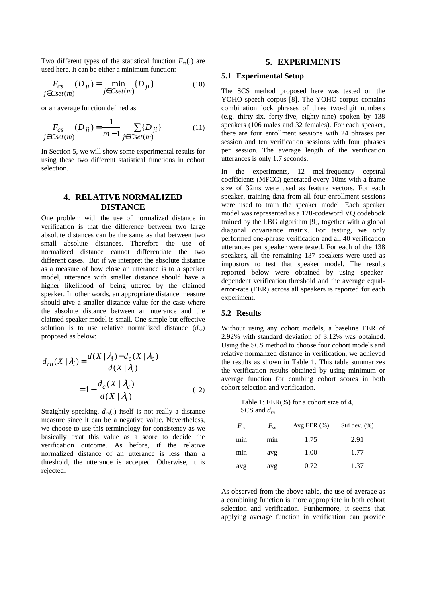Two different types of the statistical function  $F_{cs}(.)$  are used here. It can be either a minimum function:

$$
F_{cs} \t(D_{ji}) = \min_{j \in \text{Cset}(m)} \{D_{ji}\}
$$
 (10)

or an average function defined as:

$$
F_{cs}(D_{ji}) = \frac{1}{m-1} \sum_{j \in Cset(m)} \{D_{ji}\}
$$
 (11)

In Section 5, we will show some experimental results for using these two different statistical functions in cohort selection.

## **4. RELATIVE NORMALIZED DISTANCE**

One problem with the use of normalized distance in verification is that the difference between two large absolute distances can be the same as that between two small absolute distances. Therefore the use of normalized distance cannot differentiate the two different cases. But if we interpret the absolute distance as a measure of how close an utterance is to a speaker model, utterance with smaller distance should have a higher likelihood of being uttered by the claimed speaker. In other words, an appropriate distance measure should give a smaller distance value for the case where the absolute distance between an utterance and the claimed speaker model is small. One simple but effective solution is to use relative normalized distance (*drn*) proposed as below:

$$
d_{rn}(X | \lambda_i) = \frac{d(X | \lambda_i) - d_c(X | \lambda_c)}{d(X | \lambda_i)}
$$

$$
= 1 - \frac{d_c(X | \lambda_c)}{d(X | \lambda_i)}
$$
(12)

Straightly speaking,  $d_{rn}$ . itself is not really a distance measure since it can be a negative value. Nevertheless, we choose to use this terminology for consistency as we basically treat this value as a score to decide the verification outcome. As before, if the relative normalized distance of an utterance is less than a threshold, the utterance is accepted. Otherwise, it is rejected.

### **5. EXPERIMENTS**

#### **5.1 Experimental Setup**

The SCS method proposed here was tested on the YOHO speech corpus [8]. The YOHO corpus contains combination lock phrases of three two-digit numbers (e.g. thirty-six, forty-five, eighty-nine) spoken by 138 speakers (106 males and 32 females). For each speaker, there are four enrollment sessions with 24 phrases per session and ten verification sessions with four phrases per session. The average length of the verification utterances is only 1.7 seconds.

In the experiments, 12 mel-frequency cepstral coefficients (MFCC) generated every 10ms with a frame size of 32ms were used as feature vectors. For each speaker, training data from all four enrollment sessions were used to train the speaker model. Each speaker model was represented as a 128-codeword VQ codebook trained by the LBG algorithm [9], together with a global diagonal covariance matrix. For testing, we only performed one-phrase verification and all 40 verification utterances per speaker were tested. For each of the 138 speakers, all the remaining 137 speakers were used as impostors to test that speaker model. The results reported below were obtained by using speakerdependent verification threshold and the average equalerror-rate (EER) across all speakers is reported for each experiment.

#### **5.2 Results**

Without using any cohort models, a baseline EER of 2.92% with standard deviation of 3.12% was obtained. Using the SCS method to choose four cohort models and relative normalized distance in verification, we achieved the results as shown in Table 1. This table summarizes the verification results obtained by using minimum or average function for combing cohort scores in both cohort selection and verification.

Table 1: EER(%) for a cohort size of 4, SCS and *drn*

| $F_{cs}$ | $F_{s\nu}$ | Avg EER $(\%)$ | Std dev. $(\%)$ |
|----------|------------|----------------|-----------------|
| min      | mın        | 1.75           | 2.91            |
| min      | avg        | 1.00           | 1.77            |
| avg      | avg        | 0.72           | 1.37            |

As observed from the above table, the use of average as a combining function is more appropriate in both cohort selection and verification. Furthermore, it seems that applying average function in verification can provide